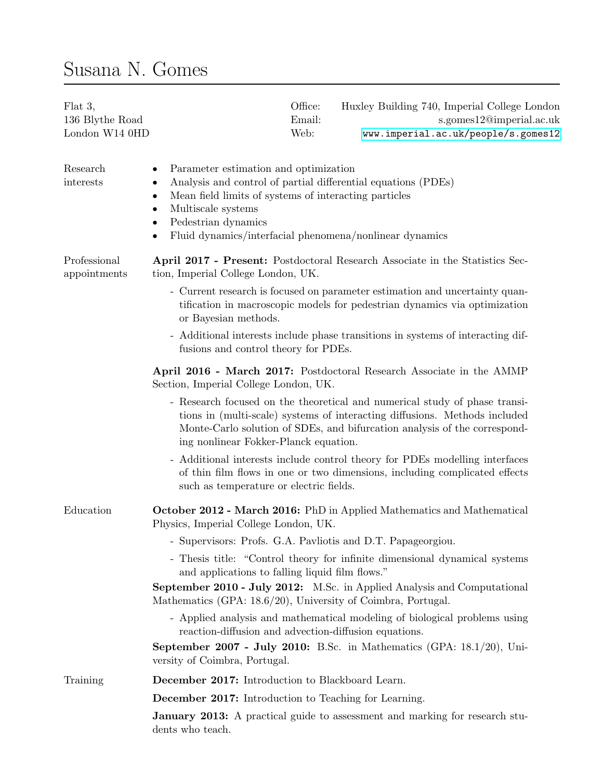## Susana N. Gomes

| Flat 3,<br>136 Blythe Road<br>London W14 0HD | Office:<br>Email:<br>Web:                                                                                                                                                                                                                                                                      | Huxley Building 740, Imperial College London<br>s.gomes12@imperial.ac.uk<br>www.imperial.ac.uk/people/s.gomes12                                                                                                                       |
|----------------------------------------------|------------------------------------------------------------------------------------------------------------------------------------------------------------------------------------------------------------------------------------------------------------------------------------------------|---------------------------------------------------------------------------------------------------------------------------------------------------------------------------------------------------------------------------------------|
| Research<br>interests                        | Parameter estimation and optimization<br>Analysis and control of partial differential equations (PDEs)<br>٠<br>Mean field limits of systems of interacting particles<br>$\bullet$<br>Multiscale systems<br>٠<br>Pedestrian dynamics<br>Fluid dynamics/interfacial phenomena/nonlinear dynamics |                                                                                                                                                                                                                                       |
| Professional<br>appointments                 | tion, Imperial College London, UK.                                                                                                                                                                                                                                                             | April 2017 - Present: Postdoctoral Research Associate in the Statistics Sec-                                                                                                                                                          |
|                                              | or Bayesian methods.                                                                                                                                                                                                                                                                           | - Current research is focused on parameter estimation and uncertainty quan-<br>tification in macroscopic models for pedestrian dynamics via optimization                                                                              |
|                                              | fusions and control theory for PDEs.                                                                                                                                                                                                                                                           | - Additional interests include phase transitions in systems of interacting dif-                                                                                                                                                       |
|                                              | Section, Imperial College London, UK.                                                                                                                                                                                                                                                          | April 2016 - March 2017: Postdoctoral Research Associate in the AMMP                                                                                                                                                                  |
|                                              | ing nonlinear Fokker-Planck equation.                                                                                                                                                                                                                                                          | - Research focused on the theoretical and numerical study of phase transi-<br>tions in (multi-scale) systems of interacting diffusions. Methods included<br>Monte-Carlo solution of SDEs, and bifurcation analysis of the correspond- |
|                                              | such as temperature or electric fields.                                                                                                                                                                                                                                                        | - Additional interests include control theory for PDEs modelling interfaces<br>of thin film flows in one or two dimensions, including complicated effects                                                                             |
| Education                                    | Physics, Imperial College London, UK.                                                                                                                                                                                                                                                          | October 2012 - March 2016: PhD in Applied Mathematics and Mathematical                                                                                                                                                                |
|                                              |                                                                                                                                                                                                                                                                                                | - Supervisors: Profs. G.A. Pavliotis and D.T. Papageorgiou.                                                                                                                                                                           |
|                                              | and applications to falling liquid film flows."                                                                                                                                                                                                                                                | - Thesis title: "Control theory for infinite dimensional dynamical systems                                                                                                                                                            |
|                                              | Mathematics (GPA: 18.6/20), University of Coimbra, Portugal.                                                                                                                                                                                                                                   | September 2010 - July 2012: M.Sc. in Applied Analysis and Computational                                                                                                                                                               |
|                                              | reaction-diffusion and advection-diffusion equations.                                                                                                                                                                                                                                          | - Applied analysis and mathematical modeling of biological problems using                                                                                                                                                             |
|                                              | versity of Coimbra, Portugal.                                                                                                                                                                                                                                                                  | September 2007 - July 2010: B.Sc. in Mathematics (GPA: 18.1/20), Uni-                                                                                                                                                                 |
| Training                                     | December 2017: Introduction to Blackboard Learn.                                                                                                                                                                                                                                               |                                                                                                                                                                                                                                       |
|                                              | <b>December 2017:</b> Introduction to Teaching for Learning.                                                                                                                                                                                                                                   |                                                                                                                                                                                                                                       |
|                                              | dents who teach.                                                                                                                                                                                                                                                                               | <b>January 2013:</b> A practical guide to assessment and marking for research stu-                                                                                                                                                    |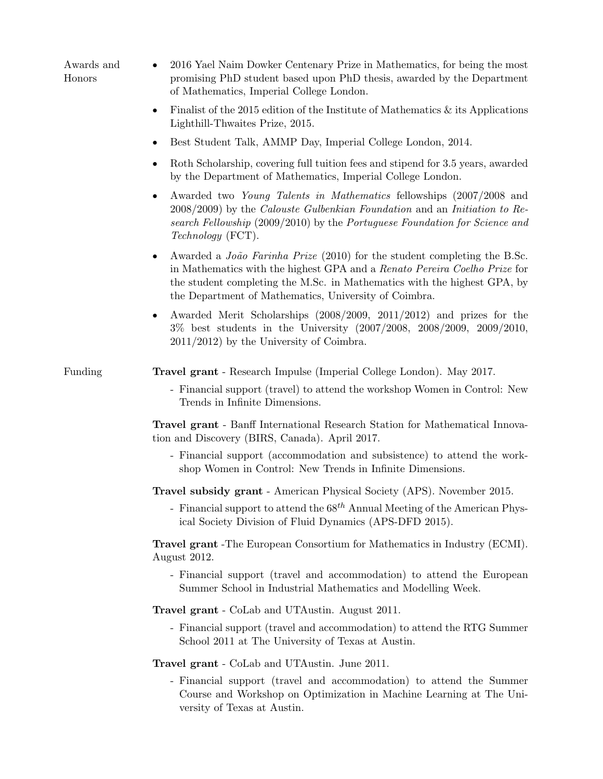| Awards and<br>Honors | 2016 Yael Naim Dowker Centenary Prize in Mathematics, for being the most<br>$\bullet$<br>promising PhD student based upon PhD thesis, awarded by the Department<br>of Mathematics, Imperial College London.                                                                                                    |
|----------------------|----------------------------------------------------------------------------------------------------------------------------------------------------------------------------------------------------------------------------------------------------------------------------------------------------------------|
|                      | Finalist of the 2015 edition of the Institute of Mathematics $\&$ its Applications<br>٠<br>Lighthill-Thwaites Prize, 2015.                                                                                                                                                                                     |
|                      | Best Student Talk, AMMP Day, Imperial College London, 2014.<br>$\bullet$                                                                                                                                                                                                                                       |
|                      | Roth Scholarship, covering full tuition fees and stipend for 3.5 years, awarded<br>٠<br>by the Department of Mathematics, Imperial College London.                                                                                                                                                             |
|                      | Awarded two Young Talents in Mathematics fellowships (2007/2008 and<br>$\bullet$<br>$2008/2009$ ) by the <i>Calouste Gulbenkian Foundation</i> and an <i>Initiation to Re-</i><br>search Fellowship (2009/2010) by the Portuguese Foundation for Science and<br><i>Technology</i> (FCT).                       |
|                      | Awarded a <i>João Farinha Prize</i> (2010) for the student completing the B.Sc.<br>$\bullet$<br>in Mathematics with the highest GPA and a Renato Pereira Coelho Prize for<br>the student completing the M.Sc. in Mathematics with the highest GPA, by<br>the Department of Mathematics, University of Coimbra. |
|                      | Awarded Merit Scholarships $(2008/2009, 2011/2012)$ and prizes for the<br>٠<br>3% best students in the University (2007/2008, 2008/2009, 2009/2010,<br>$2011/2012$ by the University of Coimbra.                                                                                                               |
| Funding              | <b>Travel grant</b> - Research Impulse (Imperial College London). May 2017.                                                                                                                                                                                                                                    |
|                      | - Financial support (travel) to attend the workshop Women in Control: New<br>Trends in Infinite Dimensions.                                                                                                                                                                                                    |
|                      | <b>Travel grant</b> - Banff International Research Station for Mathematical Innova-<br>tion and Discovery (BIRS, Canada). April 2017.                                                                                                                                                                          |
|                      | - Financial support (accommodation and subsistence) to attend the work-<br>shop Women in Control: New Trends in Infinite Dimensions.                                                                                                                                                                           |
|                      | Travel subsidy grant - American Physical Society (APS). November 2015.                                                                                                                                                                                                                                         |
|                      | - Financial support to attend the $68^{th}$ Annual Meeting of the American Phys-<br>ical Society Division of Fluid Dynamics (APS-DFD 2015).                                                                                                                                                                    |
|                      | <b>Travel grant</b> -The European Consortium for Mathematics in Industry (ECMI).<br>August 2012.                                                                                                                                                                                                               |
|                      | - Financial support (travel and accommodation) to attend the European<br>Summer School in Industrial Mathematics and Modelling Week.                                                                                                                                                                           |
|                      | Travel grant - CoLab and UTAustin. August 2011.                                                                                                                                                                                                                                                                |
|                      | - Financial support (travel and accommodation) to attend the RTG Summer<br>School 2011 at The University of Texas at Austin.                                                                                                                                                                                   |
|                      | Travel grant - CoLab and UTAustin. June 2011.                                                                                                                                                                                                                                                                  |
|                      | - Financial support (travel and accommodation) to attend the Summer<br>Course and Workshop on Optimization in Machine Learning at The Uni-<br>versity of Texas at Austin.                                                                                                                                      |
|                      |                                                                                                                                                                                                                                                                                                                |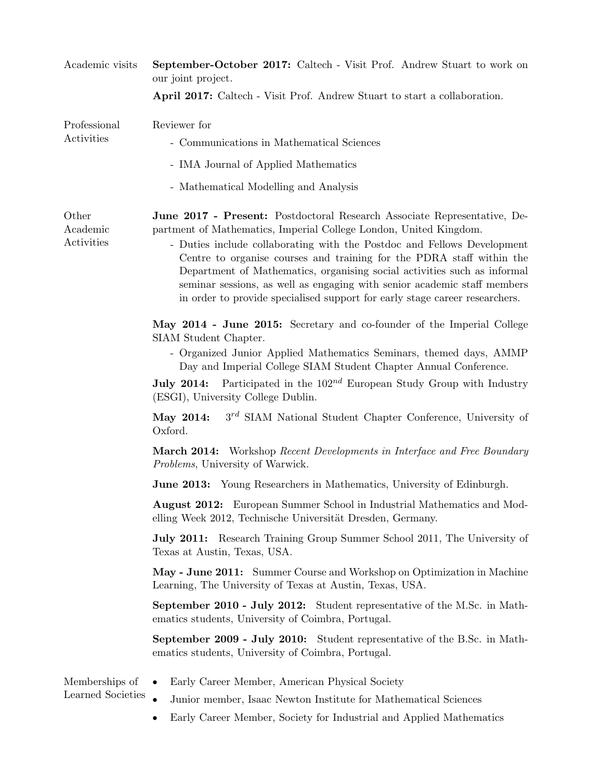| Academic visits                     | September-October 2017: Caltech - Visit Prof. Andrew Stuart to work on<br>our joint project.                                                                                                                                                                                                                                                                                                                                                                                                                                             |  |
|-------------------------------------|------------------------------------------------------------------------------------------------------------------------------------------------------------------------------------------------------------------------------------------------------------------------------------------------------------------------------------------------------------------------------------------------------------------------------------------------------------------------------------------------------------------------------------------|--|
|                                     | April 2017: Caltech - Visit Prof. Andrew Stuart to start a collaboration.                                                                                                                                                                                                                                                                                                                                                                                                                                                                |  |
| Professional<br>Activities          | Reviewer for<br>- Communications in Mathematical Sciences                                                                                                                                                                                                                                                                                                                                                                                                                                                                                |  |
|                                     | - IMA Journal of Applied Mathematics                                                                                                                                                                                                                                                                                                                                                                                                                                                                                                     |  |
|                                     | - Mathematical Modelling and Analysis                                                                                                                                                                                                                                                                                                                                                                                                                                                                                                    |  |
| Other<br>Academic<br>Activities     | June 2017 - Present: Postdoctoral Research Associate Representative, De-<br>partment of Mathematics, Imperial College London, United Kingdom.<br>- Duties include collaborating with the Postdoc and Fellows Development<br>Centre to organise courses and training for the PDRA staff within the<br>Department of Mathematics, organising social activities such as informal<br>seminar sessions, as well as engaging with senior academic staff members<br>in order to provide specialised support for early stage career researchers. |  |
|                                     | May 2014 - June 2015: Secretary and co-founder of the Imperial College<br>SIAM Student Chapter.<br>- Organized Junior Applied Mathematics Seminars, themed days, AMMP<br>Day and Imperial College SIAM Student Chapter Annual Conference.                                                                                                                                                                                                                                                                                                |  |
|                                     | <b>July 2014:</b> Participated in the $102^{nd}$ European Study Group with Industry<br>(ESGI), University College Dublin.                                                                                                                                                                                                                                                                                                                                                                                                                |  |
|                                     | $3^{rd}$ SIAM National Student Chapter Conference, University of<br>May 2014:<br>Oxford.                                                                                                                                                                                                                                                                                                                                                                                                                                                 |  |
|                                     | <b>March 2014:</b> Workshop Recent Developments in Interface and Free Boundary<br><i>Problems</i> , University of Warwick.                                                                                                                                                                                                                                                                                                                                                                                                               |  |
|                                     | <b>June 2013:</b> Young Researchers in Mathematics, University of Edinburgh.                                                                                                                                                                                                                                                                                                                                                                                                                                                             |  |
|                                     | <b>August 2012:</b> European Summer School in Industrial Mathematics and Mod-<br>elling Week 2012, Technische Universität Dresden, Germany.                                                                                                                                                                                                                                                                                                                                                                                              |  |
|                                     | <b>July 2011:</b> Research Training Group Summer School 2011, The University of<br>Texas at Austin, Texas, USA.                                                                                                                                                                                                                                                                                                                                                                                                                          |  |
|                                     | May - June 2011: Summer Course and Workshop on Optimization in Machine<br>Learning, The University of Texas at Austin, Texas, USA.                                                                                                                                                                                                                                                                                                                                                                                                       |  |
|                                     | September 2010 - July 2012: Student representative of the M.Sc. in Math-<br>ematics students, University of Coimbra, Portugal.                                                                                                                                                                                                                                                                                                                                                                                                           |  |
|                                     | <b>September 2009 - July 2010:</b> Student representative of the B.Sc. in Math-<br>ematics students, University of Coimbra, Portugal.                                                                                                                                                                                                                                                                                                                                                                                                    |  |
| Memberships of<br>Learned Societies | Early Career Member, American Physical Society<br>Junior member, Isaac Newton Institute for Mathematical Sciences                                                                                                                                                                                                                                                                                                                                                                                                                        |  |
|                                     | Early Career Member, Society for Industrial and Applied Mathematics                                                                                                                                                                                                                                                                                                                                                                                                                                                                      |  |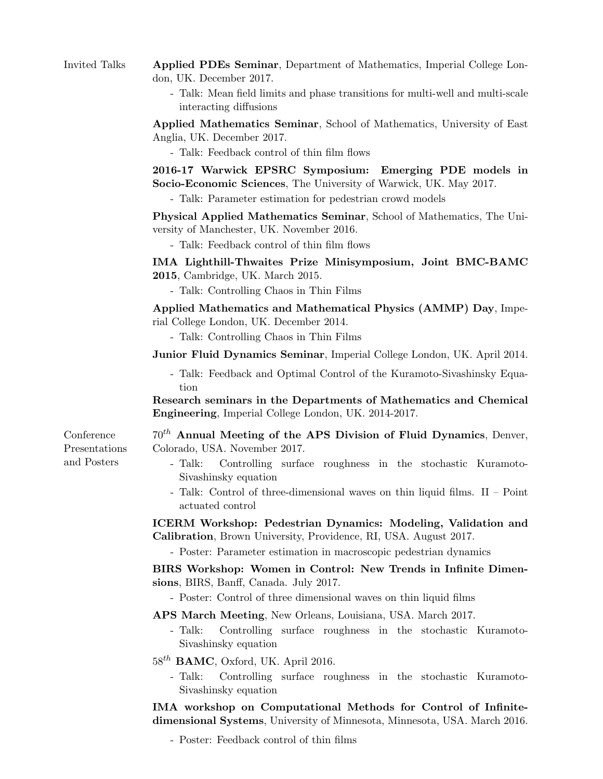## Invited Talks Applied PDEs Seminar, Department of Mathematics, Imperial College London, UK. December 2017.

- Talk: Mean field limits and phase transitions for multi-well and multi-scale interacting diffusions

Applied Mathematics Seminar, School of Mathematics, University of East Anglia, UK. December 2017.

- Talk: Feedback control of thin film flows

2016-17 Warwick EPSRC Symposium: Emerging PDE models in Socio-Economic Sciences, The University of Warwick, UK. May 2017.

- Talk: Parameter estimation for pedestrian crowd models

Physical Applied Mathematics Seminar, School of Mathematics, The University of Manchester, UK. November 2016.

- Talk: Feedback control of thin film flows

IMA Lighthill-Thwaites Prize Minisymposium, Joint BMC-BAMC 2015, Cambridge, UK. March 2015.

- Talk: Controlling Chaos in Thin Films

Applied Mathematics and Mathematical Physics (AMMP) Day, Imperial College London, UK. December 2014.

- Talk: Controlling Chaos in Thin Films

Junior Fluid Dynamics Seminar, Imperial College London, UK. April 2014.

- Talk: Feedback and Optimal Control of the Kuramoto-Sivashinsky Equation

Research seminars in the Departments of Mathematics and Chemical Engineering, Imperial College London, UK. 2014-2017.

 $70<sup>th</sup>$  Annual Meeting of the APS Division of Fluid Dynamics, Denver, Colorado, USA. November 2017.

- Talk: Controlling surface roughness in the stochastic Kuramoto-Sivashinsky equation
- Talk: Control of three-dimensional waves on thin liquid films. II Point actuated control

ICERM Workshop: Pedestrian Dynamics: Modeling, Validation and Calibration, Brown University, Providence, RI, USA. August 2017.

- Poster: Parameter estimation in macroscopic pedestrian dynamics

BIRS Workshop: Women in Control: New Trends in Infinite Dimensions, BIRS, Banff, Canada. July 2017.

- Poster: Control of three dimensional waves on thin liquid films

APS March Meeting, New Orleans, Louisiana, USA. March 2017.

- Talk: Controlling surface roughness in the stochastic Kuramoto-Sivashinsky equation
- $58^{th}$  BAMC, Oxford, UK. April 2016.
	- Talk: Controlling surface roughness in the stochastic Kuramoto-Sivashinsky equation

IMA workshop on Computational Methods for Control of Infinitedimensional Systems, University of Minnesota, Minnesota, USA. March 2016.

- Poster: Feedback control of thin films

Conference Presentations and Posters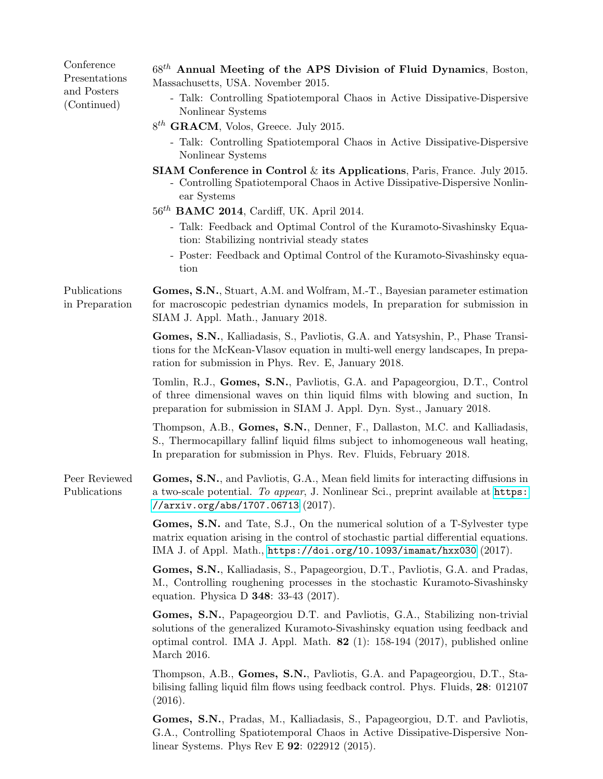| Conference<br>Presentations<br>and Posters<br>(Continued) | $68th$ Annual Meeting of the APS Division of Fluid Dynamics, Boston,<br>Massachusetts, USA. November 2015.                                                                                                                                                    |
|-----------------------------------------------------------|---------------------------------------------------------------------------------------------------------------------------------------------------------------------------------------------------------------------------------------------------------------|
|                                                           | - Talk: Controlling Spatiotemporal Chaos in Active Dissipative-Dispersive<br>Nonlinear Systems                                                                                                                                                                |
|                                                           | $8^{th}$ GRACM, Volos, Greece. July 2015.                                                                                                                                                                                                                     |
|                                                           | - Talk: Controlling Spatiotemporal Chaos in Active Dissipative-Dispersive<br>Nonlinear Systems                                                                                                                                                                |
|                                                           | <b>SIAM Conference in Control</b> $\&$ its Applications, Paris, France. July 2015.<br>- Controlling Spatiotemporal Chaos in Active Dissipative-Dispersive Nonlin-<br>ear Systems                                                                              |
|                                                           | $56^{th}$ BAMC 2014, Cardiff, UK. April 2014.                                                                                                                                                                                                                 |
|                                                           | - Talk: Feedback and Optimal Control of the Kuramoto-Sivashinsky Equa-<br>tion: Stabilizing nontrivial steady states                                                                                                                                          |
|                                                           | - Poster: Feedback and Optimal Control of the Kuramoto-Sivashinsky equa-<br>tion                                                                                                                                                                              |
| Publications<br>in Preparation                            | Gomes, S.N., Stuart, A.M. and Wolfram, M.-T., Bayesian parameter estimation<br>for macroscopic pedestrian dynamics models, In preparation for submission in<br>SIAM J. Appl. Math., January 2018.                                                             |
|                                                           | Gomes, S.N., Kalliadasis, S., Pavliotis, G.A. and Yatsyshin, P., Phase Transi-<br>tions for the McKean-Vlasov equation in multi-well energy landscapes, In prepa-<br>ration for submission in Phys. Rev. E, January 2018.                                     |
|                                                           | Tomlin, R.J., Gomes, S.N., Pavliotis, G.A. and Papageorgiou, D.T., Control<br>of three dimensional waves on thin liquid films with blowing and suction, In<br>preparation for submission in SIAM J. Appl. Dyn. Syst., January 2018.                           |
|                                                           | Thompson, A.B., Gomes, S.N., Denner, F., Dallaston, M.C. and Kalliadasis,<br>S., Thermocapillary fallinf liquid films subject to inhomogeneous wall heating,<br>In preparation for submission in Phys. Rev. Fluids, February 2018.                            |
| Peer Reviewed<br>Publications                             | Gomes, S.N., and Pavliotis, G.A., Mean field limits for interacting diffusions in<br>a two-scale potential. To appear, J. Nonlinear Sci., preprint available at https:<br>//arxiv.org/abs/1707.06713 $(2017)$ .                                               |
|                                                           | Gomes, S.N. and Tate, S.J., On the numerical solution of a T-Sylvester type<br>matrix equation arising in the control of stochastic partial differential equations.<br>IMA J. of Appl. Math., https://doi.org/10.1093/imamat/hxx030 (2017).                   |
|                                                           | Gomes, S.N., Kalliadasis, S., Papageorgiou, D.T., Pavliotis, G.A. and Pradas,<br>M., Controlling roughening processes in the stochastic Kuramoto-Sivashinsky<br>equation. Physica D 348: 33-43 (2017).                                                        |
|                                                           | Gomes, S.N., Papageorgiou D.T. and Pavliotis, G.A., Stabilizing non-trivial<br>solutions of the generalized Kuramoto-Sivashinsky equation using feedback and<br>optimal control. IMA J. Appl. Math. $82$ (1): 158-194 (2017), published online<br>March 2016. |
|                                                           | Thompson, A.B., Gomes, S.N., Pavliotis, G.A. and Papageorgiou, D.T., Sta-<br>bilising falling liquid film flows using feedback control. Phys. Fluids, 28: 012107<br>(2016).                                                                                   |
|                                                           | Gomes, S.N., Pradas, M., Kalliadasis, S., Papageorgiou, D.T. and Pavliotis,<br>G.A., Controlling Spatiotemporal Chaos in Active Dissipative-Dispersive Non-<br>linear Systems. Phys Rev E $92: 022912$ (2015).                                                |